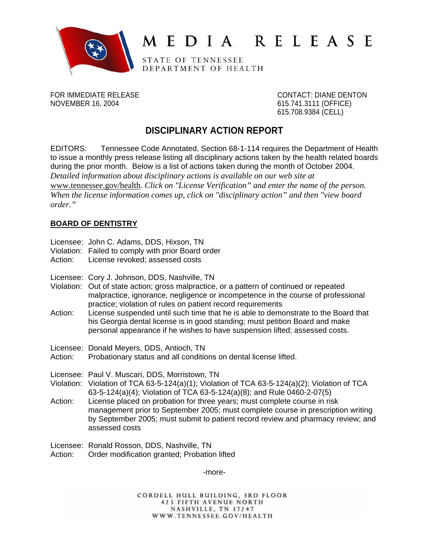

# MEDIA RELEASE

STATE OF TENNESSEE DEPARTMENT OF HEALTH

NOVEMBER 16, 2004 615.741.3111 (OFFICE)

FOR IMMEDIATE RELEASE CONTACT: DIANE DENTON 615.708.9384 (CELL)

# **DISCIPLINARY ACTION REPORT**

EDITORS: Tennessee Code Annotated, Section 68-1-114 requires the Department of Health to issue a monthly press release listing all disciplinary actions taken by the health related boards during the prior month. Below is a list of actions taken during the month of October 2004. *Detailed information about disciplinary actions is available on our web site at*  www.tennessee.gov/health*. Click on "License Verification" and enter the name of the person. When the license information comes up, click on "disciplinary action" and then "view board order."* 

# **BOARD OF DENTISTRY**

- Licensee: John C. Adams, DDS, Hixson, TN
- Violation: Failed to comply with prior Board order
- Action: License revoked; assessed costs
- Licensee: Cory J. Johnson, DDS, Nashville, TN
- Violation: Out of state action; gross malpractice, or a pattern of continued or repeated malpractice, ignorance, negligence or incompetence in the course of professional practice; violation of rules on patient record requirements
- Action: License suspended until such time that he is able to demonstrate to the Board that his Georgia dental license is in good standing; must petition Board and make personal appearance if he wishes to have suspension lifted; assessed costs.
- Licensee: Donald Meyers, DDS, Antioch, TN
- Action: Probationary status and all conditions on dental license lifted.

Licensee: Paul V. Muscari, DDS, Morristown, TN

- Violation: Violation of TCA 63-5-124(a)(1); Violation of TCA 63-5-124(a)(2); Violation of TCA 63-5-124(a)(4); Violation of TCA 63-5-124(a)(8); and Rule 0460-2-07(5)
- Action: License placed on probation for three years; must complete course in risk management prior to September 2005; must complete course in prescription writing by September 2005; must submit to patient record review and pharmacy review; and assessed costs
- Licensee: Ronald Rosson, DDS, Nashville, TN
- Action: Order modification granted; Probation lifted

-more-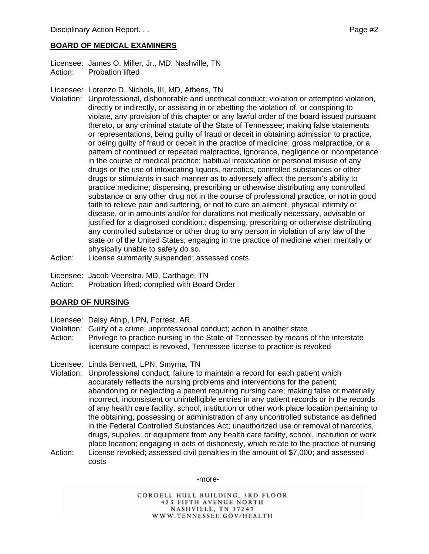### **BOARD OF MEDICAL EXAMINERS**

Licensee: James O. Miller, Jr., MD, Nashville, TN Action: Probation lifted

Licensee: Lorenzo D. Nichols, III, MD, Athens, TN

- Violation: Unprofessional, dishonorable and unethical conduct; violation or attempted violation, directly or indirectly, or assisting in or abetting the violation of, or conspiring to violate, any provision of this chapter or any lawful order of the board issued pursuant thereto, or any criminal statute of the State of Tennessee; making false statements or representations, being guilty of fraud or deceit in obtaining admission to practice, or being guilty of fraud or deceit in the practice of medicine; gross malpractice, or a pattern of continued or repeated malpractice, ignorance, negligence or incompetence in the course of medical practice; habitual intoxication or personal misuse of any drugs or the use of intoxicating liquors, narcotics, controlled substances or other drugs or stimulants in such manner as to adversely affect the person's ability to practice medicine; dispensing, prescribing or otherwise distributing any controlled substance or any other drug not in the course of professional practice, or not in good faith to relieve pain and suffering, or not to cure an ailment, physical infirmity or disease, or in amounts and/or for durations not medically necessary, advisable or justified for a diagnosed condition.; dispensing, prescribing or otherwise distributing any controlled substance or other drug to any person in violation of any law of the state or of the United States; engaging in the practice of medicine when mentally or physically unable to safely do so.
- Action: License summarily suspended; assessed costs

Licensee: Jacob Veenstra, MD, Carthage, TN

Action: Probation lifted; complied with Board Order

#### **BOARD OF NURSING**

- Licensee: Daisy Atnip, LPN, Forrest, AR
- Violation: Guilty of a crime; unprofessional conduct; action in another state
- Action: Privilege to practice nursing in the State of Tennessee by means of the interstate licensure compact is revoked, Tennessee license to practice is revoked

Licensee: Linda Bennett, LPN, Smyrna, TN

- Violation: Unprofessional conduct; failure to maintain a record for each patient which accurately reflects the nursing problems and interventions for the patient; abandoning or neglecting a patient requiring nursing care; making false or materially incorrect, inconsistent or unintelligible entries in any patient records or in the records of any health care facility, school, institution or other work place location pertaining to the obtaining, possessing or administration of any uncontrolled substance as defined in the Federal Controlled Substances Act; unauthorized use or removal of narcotics, drugs, supplies, or equipment from any health care facility, school, institution or work place location; engaging in acts of dishonesty, which relate to the practice of nursing
- Action: License revoked; assessed civil penalties in the amount of \$7,000; and assessed costs

-more-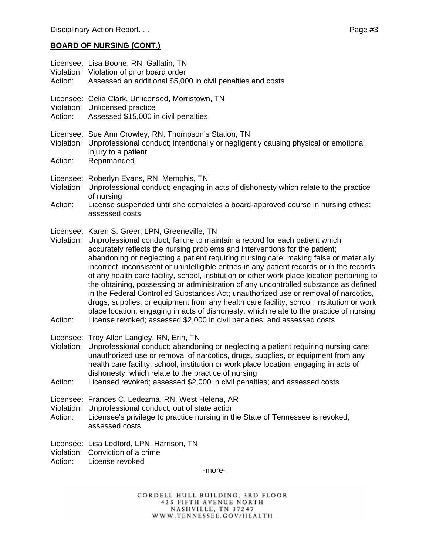# **BOARD OF NURSING (CONT.)**

| Action:               | Licensee: Lisa Boone, RN, Gallatin, TN<br>Violation: Violation of prior board order<br>Assessed an additional \$5,000 in civil penalties and costs                                                                                                                                                                                                                                                                                                                                                                                                                                                                                                                                                                                                                                                                                                                                                                                                   |
|-----------------------|------------------------------------------------------------------------------------------------------------------------------------------------------------------------------------------------------------------------------------------------------------------------------------------------------------------------------------------------------------------------------------------------------------------------------------------------------------------------------------------------------------------------------------------------------------------------------------------------------------------------------------------------------------------------------------------------------------------------------------------------------------------------------------------------------------------------------------------------------------------------------------------------------------------------------------------------------|
| Action:               | Licensee: Celia Clark, Unlicensed, Morristown, TN<br>Violation: Unlicensed practice<br>Assessed \$15,000 in civil penalties                                                                                                                                                                                                                                                                                                                                                                                                                                                                                                                                                                                                                                                                                                                                                                                                                          |
| Violation:<br>Action: | Licensee: Sue Ann Crowley, RN, Thompson's Station, TN<br>Unprofessional conduct; intentionally or negligently causing physical or emotional<br>injury to a patient<br>Reprimanded                                                                                                                                                                                                                                                                                                                                                                                                                                                                                                                                                                                                                                                                                                                                                                    |
| Violation:            | Licensee: Roberlyn Evans, RN, Memphis, TN<br>Unprofessional conduct; engaging in acts of dishonesty which relate to the practice<br>of nursing                                                                                                                                                                                                                                                                                                                                                                                                                                                                                                                                                                                                                                                                                                                                                                                                       |
| Action:               | License suspended until she completes a board-approved course in nursing ethics;<br>assessed costs                                                                                                                                                                                                                                                                                                                                                                                                                                                                                                                                                                                                                                                                                                                                                                                                                                                   |
| Violation:<br>Action: | Licensee: Karen S. Greer, LPN, Greeneville, TN<br>Unprofessional conduct; failure to maintain a record for each patient which<br>accurately reflects the nursing problems and interventions for the patient;<br>abandoning or neglecting a patient requiring nursing care; making false or materially<br>incorrect, inconsistent or unintelligible entries in any patient records or in the records<br>of any health care facility, school, institution or other work place location pertaining to<br>the obtaining, possessing or administration of any uncontrolled substance as defined<br>in the Federal Controlled Substances Act; unauthorized use or removal of narcotics,<br>drugs, supplies, or equipment from any health care facility, school, institution or work<br>place location; engaging in acts of dishonesty, which relate to the practice of nursing<br>License revoked; assessed \$2,000 in civil penalties; and assessed costs |
| Action:               | Licensee: Troy Allen Langley, RN, Erin, TN<br>Violation: Unprofessional conduct; abandoning or neglecting a patient requiring nursing care;<br>unauthorized use or removal of narcotics, drugs, supplies, or equipment from any<br>health care facility, school, institution or work place location; engaging in acts of<br>dishonesty, which relate to the practice of nursing<br>Licensed revoked; assessed \$2,000 in civil penalties; and assessed costs                                                                                                                                                                                                                                                                                                                                                                                                                                                                                         |
| Violation:<br>Action: | Licensee: Frances C. Ledezma, RN, West Helena, AR<br>Unprofessional conduct; out of state action<br>Licensee's privilege to practice nursing in the State of Tennessee is revoked;<br>assessed costs                                                                                                                                                                                                                                                                                                                                                                                                                                                                                                                                                                                                                                                                                                                                                 |
| Action:               | Licensee: Lisa Ledford, LPN, Harrison, TN<br>Violation: Conviction of a crime<br>License revoked<br>-more-                                                                                                                                                                                                                                                                                                                                                                                                                                                                                                                                                                                                                                                                                                                                                                                                                                           |
|                       |                                                                                                                                                                                                                                                                                                                                                                                                                                                                                                                                                                                                                                                                                                                                                                                                                                                                                                                                                      |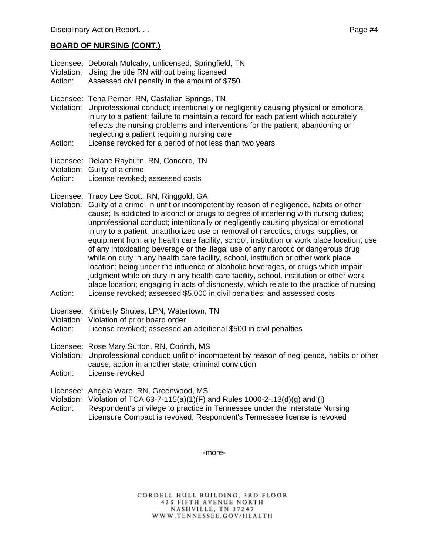#### **BOARD OF NURSING (CONT.)**

- Licensee: Deborah Mulcahy, unlicensed, Springfield, TN
- Violation: Using the title RN without being licensed
- Action: Assessed civil penalty in the amount of \$750
- Licensee: Tena Perner, RN, Castalian Springs, TN
- Violation: Unprofessional conduct; intentionally or negligently causing physical or emotional injury to a patient; failure to maintain a record for each patient which accurately reflects the nursing problems and interventions for the patient; abandoning or neglecting a patient requiring nursing care
- Action: License revoked for a period of not less than two years
- Licensee: Delane Rayburn, RN, Concord, TN
- Violation: Guilty of a crime
- Action: License revoked: assessed costs
- Licensee: Tracy Lee Scott, RN, Ringgold, GA
- Violation: Guilty of a crime; in unfit or incompetent by reason of negligence, habits or other cause; Is addicted to alcohol or drugs to degree of interfering with nursing duties; unprofessional conduct; intentionally or negligently causing physical or emotional injury to a patient; unauthorized use or removal of narcotics, drugs, supplies, or equipment from any health care facility, school, institution or work place location; use of any intoxicating beverage or the illegal use of any narcotic or dangerous drug while on duty in any health care facility, school, institution or other work place location; being under the influence of alcoholic beverages, or drugs which impair judgment while on duty in any health care facility, school, institution or other work place location; engaging in acts of dishonesty, which relate to the practice of nursing Action: License revoked; assessed \$5,000 in civil penalties; and assessed costs
- Licensee: Kimberly Shutes, LPN, Watertown, TN
- Violation: Violation of prior board order
- Action: License revoked; assessed an additional \$500 in civil penalties
- Licensee: Rose Mary Sutton, RN, Corinth, MS

Violation: Unprofessional conduct; unfit or incompetent by reason of negligence, habits or other cause, action in another state; criminal conviction

Action: License revoked

Licensee: Angela Ware, RN, Greenwood, MS

- Violation: Violation of TCA 63-7-115(a)(1)(F) and Rules 1000-2-.13(d)(g) and (j)
- Action: Respondent's privilege to practice in Tennessee under the Interstate Nursing Licensure Compact is revoked; Respondent's Tennessee license is revoked

-more-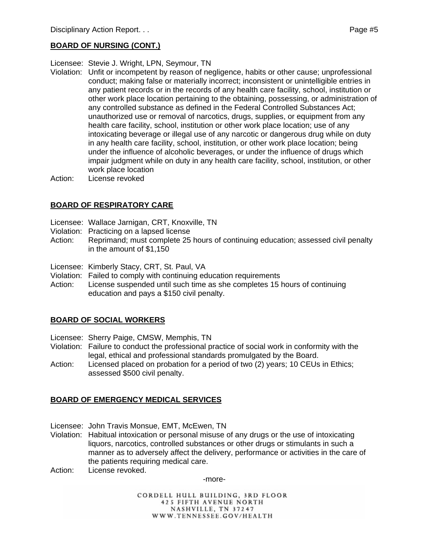#### **BOARD OF NURSING (CONT.)**

Licensee: Stevie J. Wright, LPN, Seymour, TN

- Violation: Unfit or incompetent by reason of negligence, habits or other cause; unprofessional conduct; making false or materially incorrect; inconsistent or unintelligible entries in any patient records or in the records of any health care facility, school, institution or other work place location pertaining to the obtaining, possessing, or administration of any controlled substance as defined in the Federal Controlled Substances Act; unauthorized use or removal of narcotics, drugs, supplies, or equipment from any health care facility, school, institution or other work place location; use of any intoxicating beverage or illegal use of any narcotic or dangerous drug while on duty in any health care facility, school, institution, or other work place location; being under the influence of alcoholic beverages, or under the influence of drugs which impair judgment while on duty in any health care facility, school, institution, or other work place location
- Action: License revoked

# **BOARD OF RESPIRATORY CARE**

- Licensee: Wallace Jarnigan, CRT, Knoxville, TN
- Violation: Practicing on a lapsed license
- Action: Reprimand; must complete 25 hours of continuing education; assessed civil penalty in the amount of \$1,150
- Licensee: Kimberly Stacy, CRT, St. Paul, VA
- Violation: Failed to comply with continuing education requirements
- Action: License suspended until such time as she completes 15 hours of continuing education and pays a \$150 civil penalty.

#### **BOARD OF SOCIAL WORKERS**

- Licensee: Sherry Paige, CMSW, Memphis, TN
- Violation: Failure to conduct the professional practice of social work in conformity with the legal, ethical and professional standards promulgated by the Board.
- Action: Licensed placed on probation for a period of two (2) years; 10 CEUs in Ethics; assessed \$500 civil penalty.

#### **BOARD OF EMERGENCY MEDICAL SERVICES**

- Licensee: John Travis Monsue, EMT, McEwen, TN
- Violation: Habitual intoxication or personal misuse of any drugs or the use of intoxicating liquors, narcotics, controlled substances or other drugs or stimulants in such a manner as to adversely affect the delivery, performance or activities in the care of the patients requiring medical care.
- Action: License revoked.

-more-